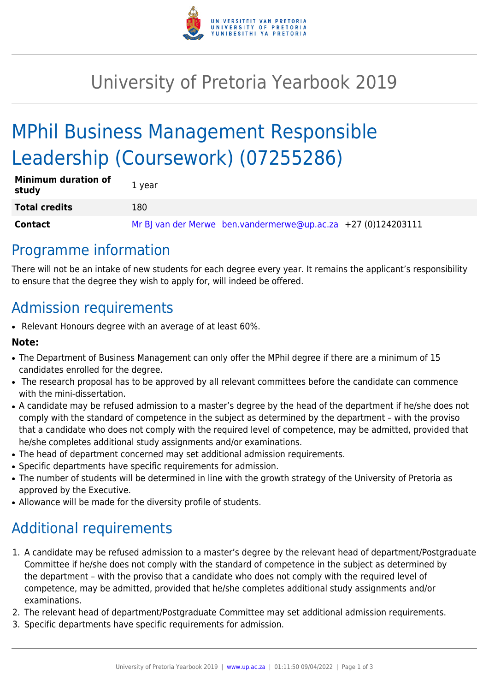

## University of Pretoria Yearbook 2019

# MPhil Business Management Responsible Leadership (Coursework) (07255286)

| <b>Minimum duration of</b><br>study | 1 year                                                        |
|-------------------------------------|---------------------------------------------------------------|
| <b>Total credits</b>                | 180                                                           |
| Contact                             | Mr BJ van der Merwe ben.vandermerwe@up.ac.za +27 (0)124203111 |

### Programme information

There will not be an intake of new students for each degree every year. It remains the applicant's responsibility to ensure that the degree they wish to apply for, will indeed be offered.

### Admission requirements

• Relevant Honours degree with an average of at least 60%.

#### **Note:**

- The Department of Business Management can only offer the MPhil degree if there are a minimum of 15 candidates enrolled for the degree.
- The research proposal has to be approved by all relevant committees before the candidate can commence with the mini-dissertation.
- A candidate may be refused admission to a master's degree by the head of the department if he/she does not comply with the standard of competence in the subject as determined by the department – with the proviso that a candidate who does not comply with the required level of competence, may be admitted, provided that he/she completes additional study assignments and/or examinations.
- The head of department concerned may set additional admission requirements.
- Specific departments have specific requirements for admission.
- The number of students will be determined in line with the growth strategy of the University of Pretoria as approved by the Executive.
- Allowance will be made for the diversity profile of students.

### Additional requirements

- 1. A candidate may be refused admission to a master's degree by the relevant head of department/Postgraduate Committee if he/she does not comply with the standard of competence in the subject as determined by the department – with the proviso that a candidate who does not comply with the required level of competence, may be admitted, provided that he/she completes additional study assignments and/or examinations.
- 2. The relevant head of department/Postgraduate Committee may set additional admission requirements.
- 3. Specific departments have specific requirements for admission.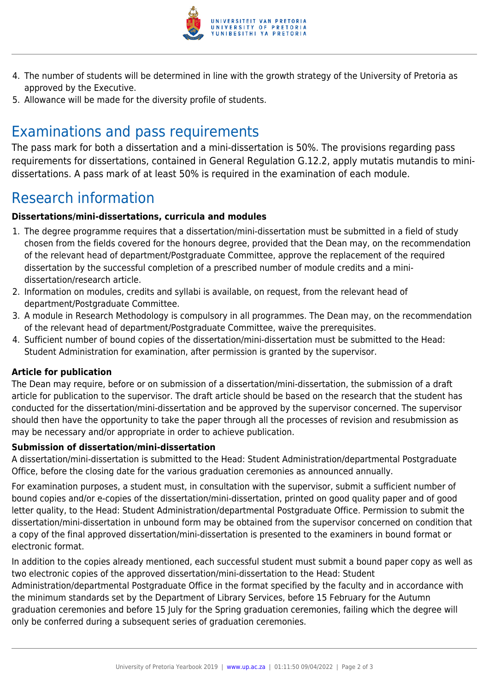

- 4. The number of students will be determined in line with the growth strategy of the University of Pretoria as approved by the Executive.
- 5. Allowance will be made for the diversity profile of students.

## Examinations and pass requirements

The pass mark for both a dissertation and a mini-dissertation is 50%. The provisions regarding pass requirements for dissertations, contained in General Regulation G.12.2, apply mutatis mutandis to minidissertations. A pass mark of at least 50% is required in the examination of each module.

### Research information

#### **Dissertations/mini-dissertations, curricula and modules**

- 1. The degree programme requires that a dissertation/mini-dissertation must be submitted in a field of study chosen from the fields covered for the honours degree, provided that the Dean may, on the recommendation of the relevant head of department/Postgraduate Committee, approve the replacement of the required dissertation by the successful completion of a prescribed number of module credits and a minidissertation/research article.
- 2. Information on modules, credits and syllabi is available, on request, from the relevant head of department/Postgraduate Committee.
- 3. A module in Research Methodology is compulsory in all programmes. The Dean may, on the recommendation of the relevant head of department/Postgraduate Committee, waive the prerequisites.
- 4. Sufficient number of bound copies of the dissertation/mini-dissertation must be submitted to the Head: Student Administration for examination, after permission is granted by the supervisor.

#### **Article for publication**

The Dean may require, before or on submission of a dissertation/mini-dissertation, the submission of a draft article for publication to the supervisor. The draft article should be based on the research that the student has conducted for the dissertation/mini-dissertation and be approved by the supervisor concerned. The supervisor should then have the opportunity to take the paper through all the processes of revision and resubmission as may be necessary and/or appropriate in order to achieve publication.

#### **Submission of dissertation/mini-dissertation**

A dissertation/mini-dissertation is submitted to the Head: Student Administration/departmental Postgraduate Office, before the closing date for the various graduation ceremonies as announced annually.

For examination purposes, a student must, in consultation with the supervisor, submit a sufficient number of bound copies and/or e-copies of the dissertation/mini-dissertation, printed on good quality paper and of good letter quality, to the Head: Student Administration/departmental Postgraduate Office. Permission to submit the dissertation/mini-dissertation in unbound form may be obtained from the supervisor concerned on condition that a copy of the final approved dissertation/mini-dissertation is presented to the examiners in bound format or electronic format.

In addition to the copies already mentioned, each successful student must submit a bound paper copy as well as two electronic copies of the approved dissertation/mini-dissertation to the Head: Student

Administration/departmental Postgraduate Office in the format specified by the faculty and in accordance with the minimum standards set by the Department of Library Services, before 15 February for the Autumn graduation ceremonies and before 15 July for the Spring graduation ceremonies, failing which the degree will only be conferred during a subsequent series of graduation ceremonies.